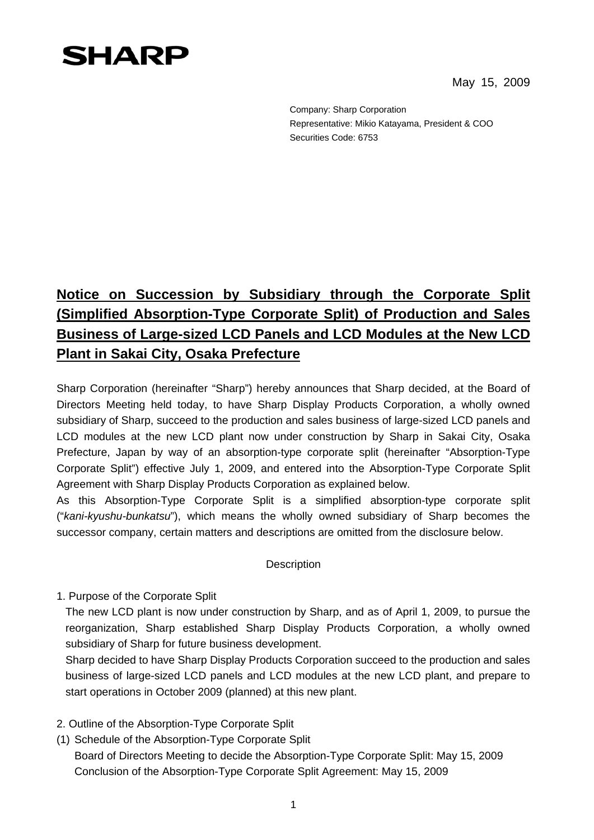## **SHARP**

May 15, 2009

Company: Sharp Corporation Representative: Mikio Katayama, President & COO Securities Code: 6753

## **Notice on Succession by Subsidiary through the Corporate Split (Simplified Absorption-Type Corporate Split) of Production and Sales Business of Large-sized LCD Panels and LCD Modules at the New LCD Plant in Sakai City, Osaka Prefecture**

Sharp Corporation (hereinafter "Sharp") hereby announces that Sharp decided, at the Board of Directors Meeting held today, to have Sharp Display Products Corporation, a wholly owned subsidiary of Sharp, succeed to the production and sales business of large-sized LCD panels and LCD modules at the new LCD plant now under construction by Sharp in Sakai City, Osaka Prefecture, Japan by way of an absorption-type corporate split (hereinafter "Absorption-Type Corporate Split") effective July 1, 2009, and entered into the Absorption-Type Corporate Split Agreement with Sharp Display Products Corporation as explained below.

As this Absorption-Type Corporate Split is a simplified absorption-type corporate split ("*kani-kyushu-bunkatsu*"), which means the wholly owned subsidiary of Sharp becomes the successor company, certain matters and descriptions are omitted from the disclosure below.

## **Description**

1. Purpose of the Corporate Split

The new LCD plant is now under construction by Sharp, and as of April 1, 2009, to pursue the reorganization, Sharp established Sharp Display Products Corporation, a wholly owned subsidiary of Sharp for future business development.

Sharp decided to have Sharp Display Products Corporation succeed to the production and sales business of large-sized LCD panels and LCD modules at the new LCD plant, and prepare to start operations in October 2009 (planned) at this new plant.

- 2. Outline of the Absorption-Type Corporate Split
- (1) Schedule of the Absorption-Type Corporate Split

Board of Directors Meeting to decide the Absorption-Type Corporate Split: May 15, 2009 Conclusion of the Absorption-Type Corporate Split Agreement: May 15, 2009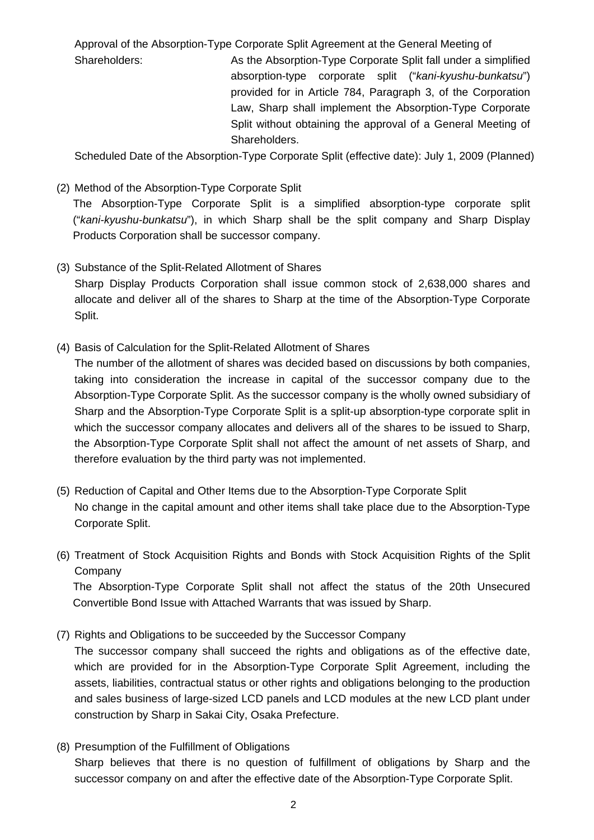Approval of the Absorption-Type Corporate Split Agreement at the General Meeting of

Shareholders: As the Absorption-Type Corporate Split fall under a simplified absorption-type corporate split ("*kani-kyushu-bunkatsu*") provided for in Article 784, Paragraph 3, of the Corporation Law, Sharp shall implement the Absorption-Type Corporate Split without obtaining the approval of a General Meeting of Shareholders.

Scheduled Date of the Absorption-Type Corporate Split (effective date): July 1, 2009 (Planned)

## (2) Method of the Absorption-Type Corporate Split

Split.

 The Absorption-Type Corporate Split is a simplified absorption-type corporate split ("*kani-kyushu-bunkatsu*"), in which Sharp shall be the split company and Sharp Display Products Corporation shall be successor company.

- (3) Substance of the Split-Related Allotment of Shares Sharp Display Products Corporation shall issue common stock of 2,638,000 shares and allocate and deliver all of the shares to Sharp at the time of the Absorption-Type Corporate
- (4) Basis of Calculation for the Split-Related Allotment of Shares

The number of the allotment of shares was decided based on discussions by both companies, taking into consideration the increase in capital of the successor company due to the Absorption-Type Corporate Split. As the successor company is the wholly owned subsidiary of Sharp and the Absorption-Type Corporate Split is a split-up absorption-type corporate split in which the successor company allocates and delivers all of the shares to be issued to Sharp, the Absorption-Type Corporate Split shall not affect the amount of net assets of Sharp, and therefore evaluation by the third party was not implemented.

- (5) Reduction of Capital and Other Items due to the Absorption-Type Corporate Split No change in the capital amount and other items shall take place due to the Absorption-Type Corporate Split.
- (6) Treatment of Stock Acquisition Rights and Bonds with Stock Acquisition Rights of the Split Company

 The Absorption-Type Corporate Split shall not affect the status of the 20th Unsecured Convertible Bond Issue with Attached Warrants that was issued by Sharp.

(7) Rights and Obligations to be succeeded by the Successor Company

The successor company shall succeed the rights and obligations as of the effective date, which are provided for in the Absorption-Type Corporate Split Agreement, including the assets, liabilities, contractual status or other rights and obligations belonging to the production and sales business of large-sized LCD panels and LCD modules at the new LCD plant under construction by Sharp in Sakai City, Osaka Prefecture.

(8) Presumption of the Fulfillment of Obligations Sharp believes that there is no question of fulfillment of obligations by Sharp and the successor company on and after the effective date of the Absorption-Type Corporate Split.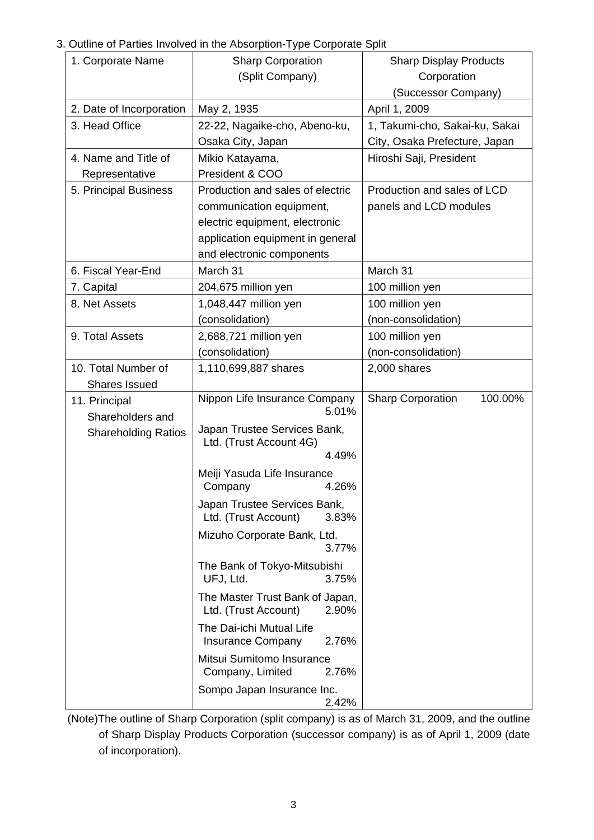3. Outline of Parties Involved in the Absorption-Type Corporate Split

|                                   | $\frac{1}{2}$ of Farnos involved in the Absorption Type corporate opin |                                     |  |
|-----------------------------------|------------------------------------------------------------------------|-------------------------------------|--|
| 1. Corporate Name                 | <b>Sharp Corporation</b>                                               | <b>Sharp Display Products</b>       |  |
|                                   | (Split Company)                                                        | Corporation                         |  |
|                                   |                                                                        | (Successor Company)                 |  |
| 2. Date of Incorporation          | May 2, 1935                                                            | April 1, 2009                       |  |
| 3. Head Office                    | 22-22, Nagaike-cho, Abeno-ku,                                          | 1, Takumi-cho, Sakai-ku, Sakai      |  |
|                                   | Osaka City, Japan                                                      | City, Osaka Prefecture, Japan       |  |
| 4. Name and Title of              | Mikio Katayama,                                                        | Hiroshi Saji, President             |  |
| Representative                    | President & COO                                                        |                                     |  |
| 5. Principal Business             | Production and sales of electric                                       | Production and sales of LCD         |  |
|                                   | communication equipment,                                               | panels and LCD modules              |  |
|                                   | electric equipment, electronic                                         |                                     |  |
|                                   | application equipment in general                                       |                                     |  |
|                                   | and electronic components                                              |                                     |  |
| 6. Fiscal Year-End                | March 31                                                               | March 31                            |  |
| 7. Capital                        | 204,675 million yen                                                    | 100 million yen                     |  |
| 8. Net Assets                     | 1,048,447 million yen                                                  | 100 million yen                     |  |
|                                   | (consolidation)                                                        | (non-consolidation)                 |  |
| 9. Total Assets                   | 2,688,721 million yen                                                  | 100 million yen                     |  |
|                                   | (consolidation)                                                        | (non-consolidation)                 |  |
| 10. Total Number of               | 1,110,699,887 shares                                                   | 2,000 shares                        |  |
| <b>Shares Issued</b>              |                                                                        |                                     |  |
| 11. Principal<br>Shareholders and | Nippon Life Insurance Company<br>5.01%                                 | 100.00%<br><b>Sharp Corporation</b> |  |
| <b>Shareholding Ratios</b>        | Japan Trustee Services Bank,                                           |                                     |  |
|                                   | Ltd. (Trust Account 4G)                                                |                                     |  |
|                                   | 4.49%                                                                  |                                     |  |
|                                   | Meiji Yasuda Life Insurance<br>4.26%<br>Company                        |                                     |  |
|                                   | Japan Trustee Services Bank,<br>Ltd. (Trust Account)<br>3.83%          |                                     |  |
|                                   | Mizuho Corporate Bank, Ltd.<br>3.77%                                   |                                     |  |
|                                   | The Bank of Tokyo-Mitsubishi<br>UFJ, Ltd.<br>3.75%                     |                                     |  |
|                                   | The Master Trust Bank of Japan,<br>Ltd. (Trust Account)<br>2.90%       |                                     |  |
|                                   | The Dai-ichi Mutual Life<br><b>Insurance Company</b><br>2.76%          |                                     |  |
|                                   | Mitsui Sumitomo Insurance<br>Company, Limited<br>2.76%                 |                                     |  |
|                                   | Sompo Japan Insurance Inc.<br>2.42%                                    |                                     |  |

(Note)The outline of Sharp Corporation (split company) is as of March 31, 2009, and the outline of Sharp Display Products Corporation (successor company) is as of April 1, 2009 (date of incorporation).